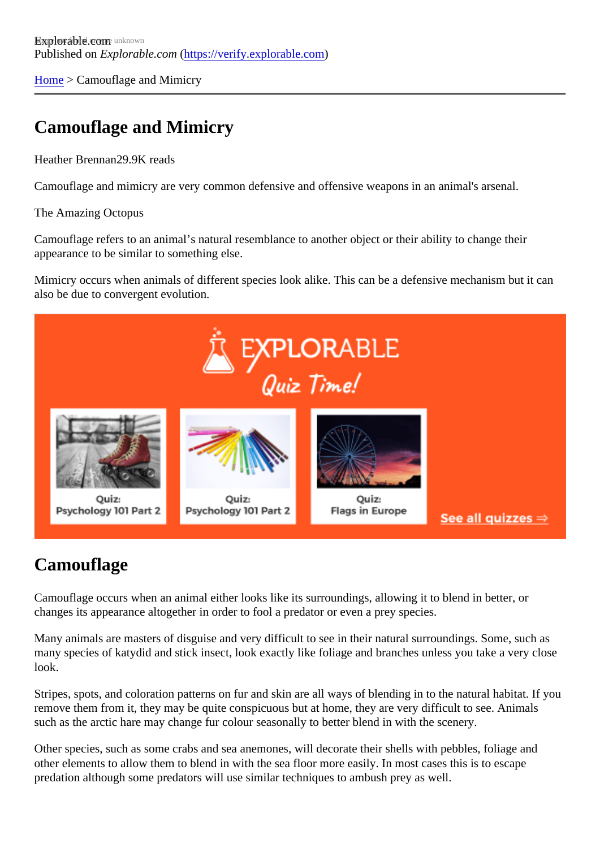[Home](https://verify.explorable.com/) > Camouflage and Mimicry

# Camouflage and Mimicry

Heather Brennan<sub>29.9K</sub> reads

Camouflage and mimicry are very common defensive and offensive weapons in an animal's arsenal.

#### The Amazing Octopus

Camouflage refers to an animal's natural resemblance to another object or their ability to change their appearance to be similar to something else.

Mimicry occurs when animals of different species look alike. This can be a defensive mechanism but it can also be due to convergent evolution.

## **Camouflage**

Camouflage occurs when an animal either looks like its surroundings, allowing it to blend in better, or changes its appearance altogether in order to fool a predator or even a prey species.

Many animals are masters of disguise and very difficult to see in their natural surroundings. Some, such a many species of katydid and stick insect, look exactly like foliage and branches unless you take a very clo look.

Stripes, spots, and coloration patterns on fur and skin are all ways of blending in to the natural habitat. If y remove them from it, they may be quite conspicuous but at home, they are very difficult to see. Animals such as the arctic hare may change fur colour seasonally to better blend in with the scenery.

Other species, such as some crabs and sea anemones, will decorate their shells with pebbles, foliage and other elements to allow them to blend in with the sea floor more easily. In most cases this is to escape predation although some predators will use similar techniques to ambush prey as well.